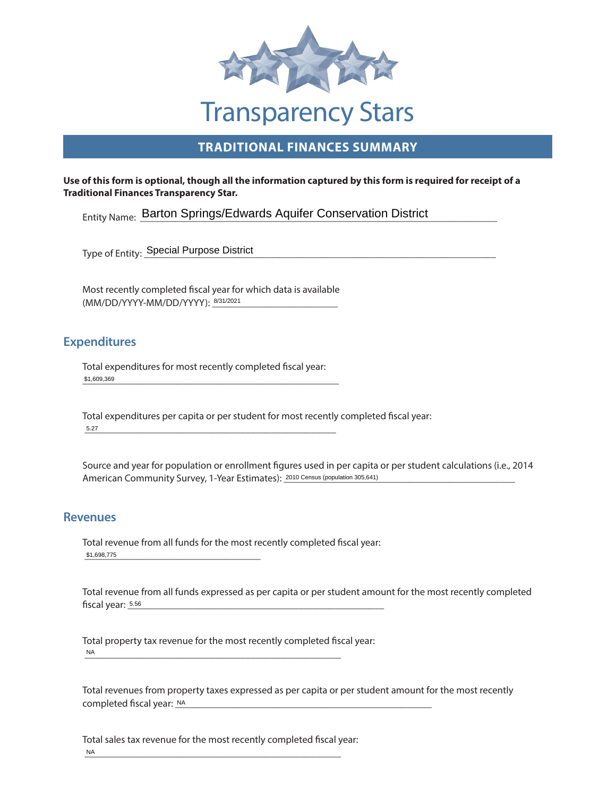

# **TRADITIONAL FINANCES SUMMARY**

#### **Use of this form is optional, though all the information captured by this form is required for receipt of a Traditional Finances Transparency Star.**

Entity Name: Barton Springs/Edwards Aquifer Conservation District

\_\_\_\_\_\_\_\_\_\_\_\_\_\_\_\_\_\_\_\_\_\_\_\_\_\_\_\_\_\_\_\_\_\_\_\_\_\_\_\_\_\_\_\_\_\_\_\_\_\_\_\_\_\_\_\_\_\_\_\_\_\_\_\_\_\_\_\_\_\_ Type of Entity: Special Purpose District

(MM/DD/YYYY-MM/DD/YYYY): 3/31/2021 Most recently completed fiscal year for which data is available

### **Expenditures**

\_\_\_\_\_\_\_\_\_\_\_\_\_\_\_\_\_\_\_\_\_\_\_\_\_\_\_\_\_\_\_\_\_\_\_\_\_\_\_\_\_\_\_\_\_\_\_\_\_\_\_ Total expenditures for most recently completed fiscal year: \$1,609,369

 \_\_\_\_\_\_\_\_\_\_\_\_\_\_\_\_\_\_\_\_\_\_\_\_\_\_\_\_\_\_\_\_\_\_\_\_\_\_\_\_\_\_\_\_\_\_\_\_\_\_ Total expenditures per capita or per student for most recently completed fiscal year: 5.27

American Community Survey, 1-Year Estimates): 2010 Census (population 305,641) Source and year for population or enrollment figures used in per capita or per student calculations (i.e., 2014

### **Revenues**

 \_\_\_\_\_\_\_\_\_\_\_\_\_\_\_\_\_\_\_\_\_\_\_\_\_\_\_\_\_\_\_\_\_\_\_ \$1,698,775 Total revenue from all funds for the most recently completed fiscal year:

 \_\_\_\_\_\_\_\_\_\_\_\_\_\_\_\_\_\_\_\_\_\_\_\_\_\_\_\_\_\_\_\_\_\_\_\_\_\_\_\_\_\_\_\_\_\_\_\_\_\_\_ Total revenue from all funds expressed as per capita or per student amount for the most recently completed fiscal year: 5.56

 \_\_\_\_\_\_\_\_\_\_\_\_\_\_\_\_\_\_\_\_\_\_\_\_\_\_\_\_\_\_\_\_\_\_\_\_\_\_\_\_\_\_\_\_\_\_\_\_\_\_\_ Total property tax revenue for the most recently completed fiscal year: NA

\_\_\_\_\_\_\_\_\_\_\_\_\_\_\_\_\_\_\_\_\_\_\_\_\_\_\_\_\_\_\_\_\_\_\_\_\_\_\_\_\_\_\_\_\_\_\_\_\_\_\_ Total revenues from property taxes expressed as per capita or per student amount for the most recently completed fiscal year: NA

 \_\_\_\_\_\_\_\_\_\_\_\_\_\_\_\_\_\_\_\_\_\_\_\_\_\_\_\_\_\_\_\_\_\_\_\_\_\_\_\_\_\_\_\_\_\_\_\_\_\_\_ Total sales tax revenue for the most recently completed fiscal year: NA